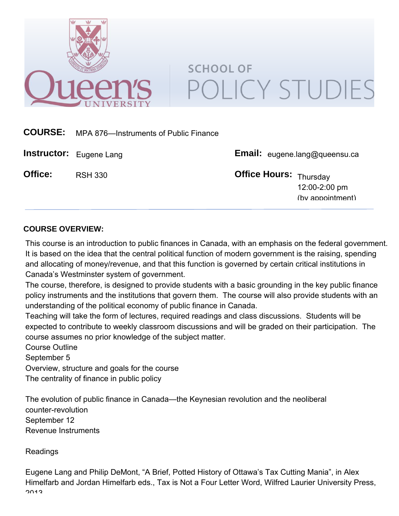

# **SCHOOL OF** POLICY STUDIES

| <b>COURSE:</b> | MPA 876-Instruments of Public Finance |                                      |                                   |
|----------------|---------------------------------------|--------------------------------------|-----------------------------------|
|                | <b>Instructor:</b> Eugene Lang        | <b>Email:</b> eugene.lang@queensu.ca |                                   |
| Office:        | <b>RSH 330</b>                        | Office Hours: Thursday               | 12:00-2:00 pm<br>(by appointment) |

# **COURSE OVERVIEW:**

This course is an introduction to public finances in Canada, with an emphasis on the federal government. It is based on the idea that the central political function of modern government is the raising, spending and allocating of money/revenue, and that this function is governed by certain critical institutions in Canada's Westminster system of government.

The course, therefore, is designed to provide students with a basic grounding in the key public finance policy instruments and the institutions that govern them. The course will also provide students with an understanding of the political economy of public finance in Canada.

Teaching will take the form of lectures, required readings and class discussions. Students will be expected to contribute to weekly classroom discussions and will be graded on their participation. The course assumes no prior knowledge of the subject matter.

Course Outline September 5 Overview, structure and goals for the course The centrality of finance in public policy

The evolution of public finance in Canada—the Keynesian revolution and the neoliberal counter-revolution September 12 Revenue Instruments

Readings

Eugene Lang and Philip DeMont, "A Brief, Potted History of Ottawa's Tax Cutting Mania", in Alex Himelfarb and Jordan Himelfarb eds., Tax is Not a Four Letter Word, Wilfred Laurier University Press, 2013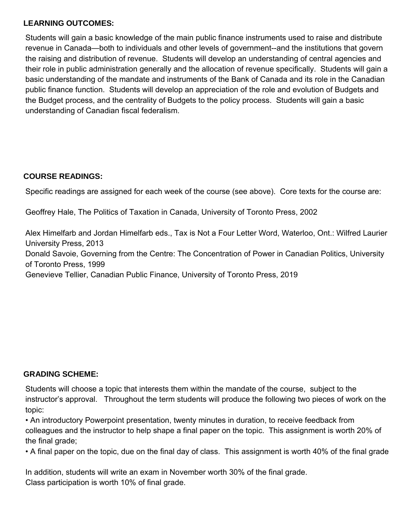# **LEARNING OUTCOMES:**

Students will gain a basic knowledge of the main public finance instruments used to raise and distribute revenue in Canada—both to individuals and other levels of government--and the institutions that govern the raising and distribution of revenue. Students will develop an understanding of central agencies and their role in public administration generally and the allocation of revenue specifically. Students will gain a basic understanding of the mandate and instruments of the Bank of Canada and its role in the Canadian public finance function. Students will develop an appreciation of the role and evolution of Budgets and the Budget process, and the centrality of Budgets to the policy process. Students will gain a basic understanding of Canadian fiscal federalism.

# **COURSE READINGS:**

Specific readings are assigned for each week of the course (see above). Core texts for the course are:

Geoffrey Hale, The Politics of Taxation in Canada, University of Toronto Press, 2002

Alex Himelfarb and Jordan Himelfarb eds., Tax is Not a Four Letter Word, Waterloo, Ont.: Wilfred Laurier University Press, 2013 Donald Savoie, Governing from the Centre: The Concentration of Power in Canadian Politics, University of Toronto Press, 1999

Genevieve Tellier, Canadian Public Finance, University of Toronto Press, 2019

# **GRADING SCHEME:**

Students will choose a topic that interests them within the mandate of the course, subject to the instructor's approval. Throughout the term students will produce the following two pieces of work on the topic:

• An introductory Powerpoint presentation, twenty minutes in duration, to receive feedback from colleagues and the instructor to help shape a final paper on the topic. This assignment is worth 20% of the final grade;

• A final paper on the topic, due on the final day of class. This assignment is worth 40% of the final grade

In addition, students will write an exam in November worth 30% of the final grade. Class participation is worth 10% of final grade.